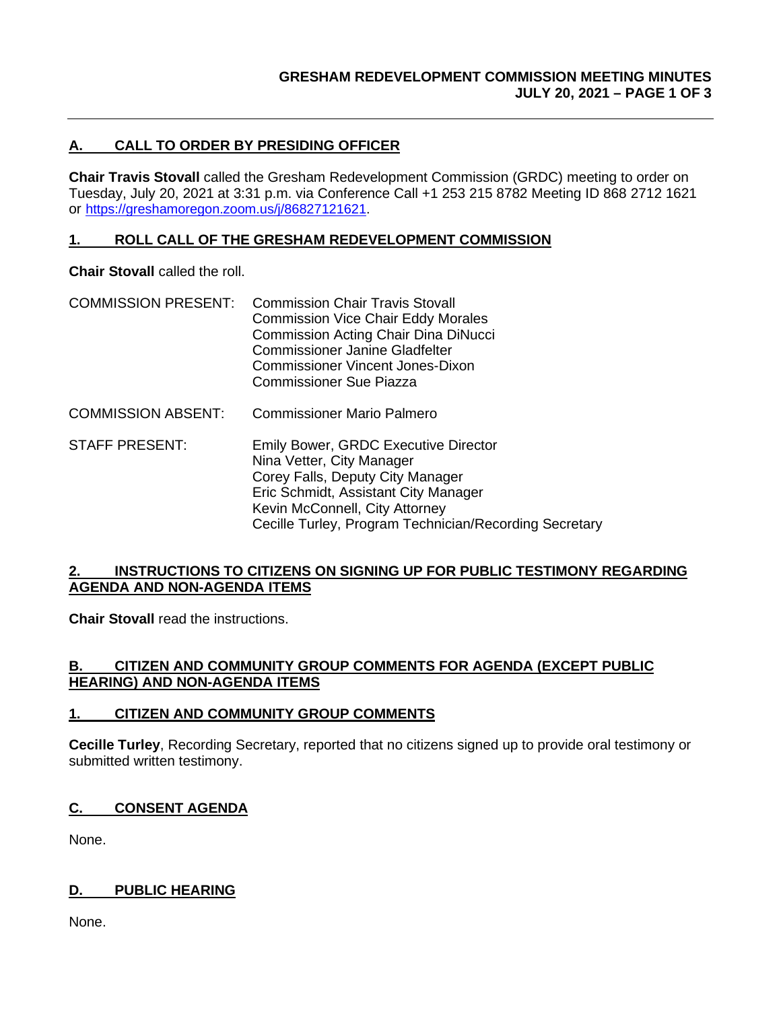# **A. CALL TO ORDER BY PRESIDING OFFICER**

**Chair Travis Stovall** called the Gresham Redevelopment Commission (GRDC) meeting to order on Tuesday, July 20, 2021 at 3:31 p.m. via Conference Call +1 253 215 8782 Meeting ID 868 2712 1621 or [https://greshamoregon.zoom.us/j/86827121621.](https://greshamoregon.zoom.us/j/86827121621)

#### **1. ROLL CALL OF THE GRESHAM REDEVELOPMENT COMMISSION**

**Chair Stovall** called the roll.

- COMMISSION PRESENT: Commission Chair Travis Stovall Commission Vice Chair Eddy Morales Commission Acting Chair Dina DiNucci Commissioner Janine Gladfelter Commissioner Vincent Jones-Dixon Commissioner Sue Piazza
- COMMISSION ABSENT: Commissioner Mario Palmero
- STAFF PRESENT: Emily Bower, GRDC Executive Director Nina Vetter, City Manager Corey Falls, Deputy City Manager Eric Schmidt, Assistant City Manager Kevin McConnell, City Attorney Cecille Turley, Program Technician/Recording Secretary

#### **2. INSTRUCTIONS TO CITIZENS ON SIGNING UP FOR PUBLIC TESTIMONY REGARDING AGENDA AND NON-AGENDA ITEMS**

**Chair Stovall** read the instructions.

#### **B. CITIZEN AND COMMUNITY GROUP COMMENTS FOR AGENDA (EXCEPT PUBLIC HEARING) AND NON-AGENDA ITEMS**

### **1. CITIZEN AND COMMUNITY GROUP COMMENTS**

**Cecille Turley**, Recording Secretary, reported that no citizens signed up to provide oral testimony or submitted written testimony.

### **C. CONSENT AGENDA**

None.

### **D. PUBLIC HEARING**

None.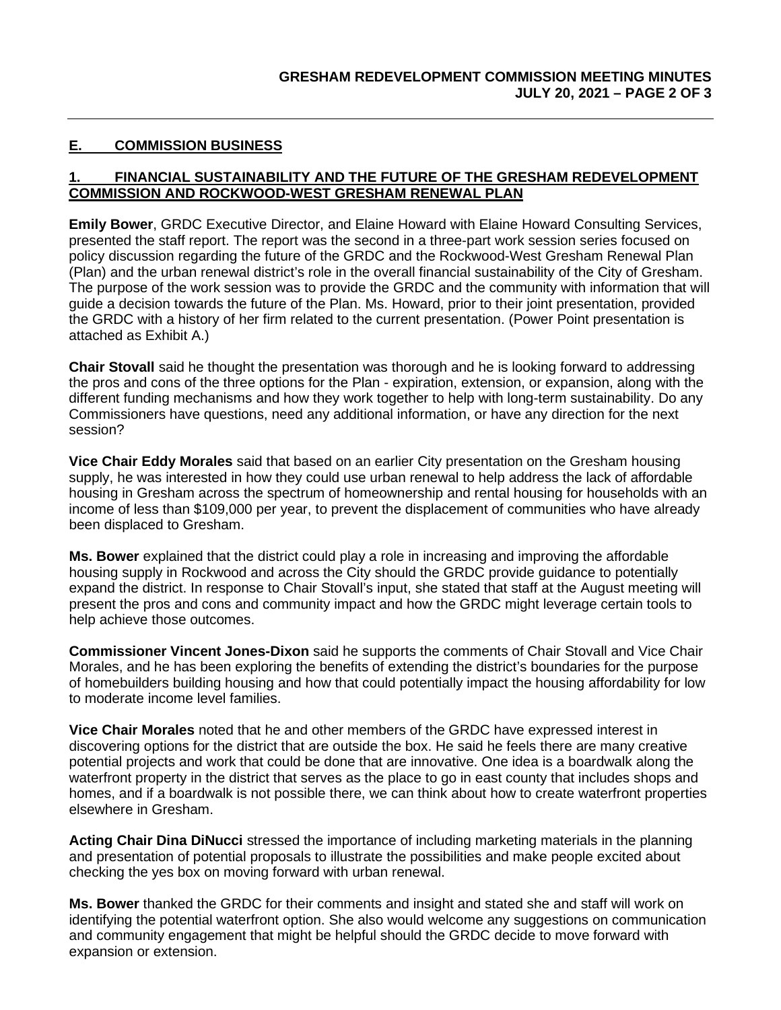## **E. COMMISSION BUSINESS**

#### **1. FINANCIAL SUSTAINABILITY AND THE FUTURE OF THE GRESHAM REDEVELOPMENT COMMISSION AND ROCKWOOD-WEST GRESHAM RENEWAL PLAN**

**Emily Bower**, GRDC Executive Director, and Elaine Howard with Elaine Howard Consulting Services, presented the staff report. The report was the second in a three-part work session series focused on policy discussion regarding the future of the GRDC and the Rockwood-West Gresham Renewal Plan (Plan) and the urban renewal district's role in the overall financial sustainability of the City of Gresham. The purpose of the work session was to provide the GRDC and the community with information that will guide a decision towards the future of the Plan. Ms. Howard, prior to their joint presentation, provided the GRDC with a history of her firm related to the current presentation. (Power Point presentation is attached as Exhibit A.)

**Chair Stovall** said he thought the presentation was thorough and he is looking forward to addressing the pros and cons of the three options for the Plan - expiration, extension, or expansion, along with the different funding mechanisms and how they work together to help with long-term sustainability. Do any Commissioners have questions, need any additional information, or have any direction for the next session?

**Vice Chair Eddy Morales** said that based on an earlier City presentation on the Gresham housing supply, he was interested in how they could use urban renewal to help address the lack of affordable housing in Gresham across the spectrum of homeownership and rental housing for households with an income of less than \$109,000 per year, to prevent the displacement of communities who have already been displaced to Gresham.

**Ms. Bower** explained that the district could play a role in increasing and improving the affordable housing supply in Rockwood and across the City should the GRDC provide guidance to potentially expand the district. In response to Chair Stovall's input, she stated that staff at the August meeting will present the pros and cons and community impact and how the GRDC might leverage certain tools to help achieve those outcomes.

**Commissioner Vincent Jones-Dixon** said he supports the comments of Chair Stovall and Vice Chair Morales, and he has been exploring the benefits of extending the district's boundaries for the purpose of homebuilders building housing and how that could potentially impact the housing affordability for low to moderate income level families.

**Vice Chair Morales** noted that he and other members of the GRDC have expressed interest in discovering options for the district that are outside the box. He said he feels there are many creative potential projects and work that could be done that are innovative. One idea is a boardwalk along the waterfront property in the district that serves as the place to go in east county that includes shops and homes, and if a boardwalk is not possible there, we can think about how to create waterfront properties elsewhere in Gresham.

**Acting Chair Dina DiNucci** stressed the importance of including marketing materials in the planning and presentation of potential proposals to illustrate the possibilities and make people excited about checking the yes box on moving forward with urban renewal.

**Ms. Bower** thanked the GRDC for their comments and insight and stated she and staff will work on identifying the potential waterfront option. She also would welcome any suggestions on communication and community engagement that might be helpful should the GRDC decide to move forward with expansion or extension.